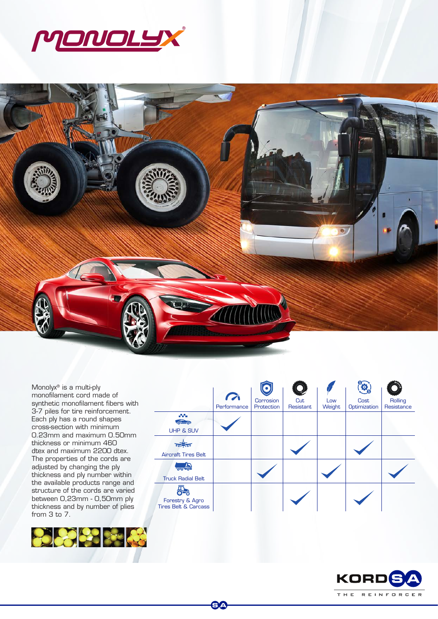



SA

Monolyx® is a multi-ply monofilament cord made of synthetic monofilament fibers with 3-7 piles for tire reinforcement. Each ply has a round shapes cross-section with minimum 0.23mm and maximum 0.50mm thickness or minimum 460 dtex and maximum 2200 dtex. The properties of the cords are adjusted by changing the ply thickness and ply number within the available products range and structure of the cords are varied between 0,23mm - 0,50mm ply thickness and by number of plies from 3 to 7.